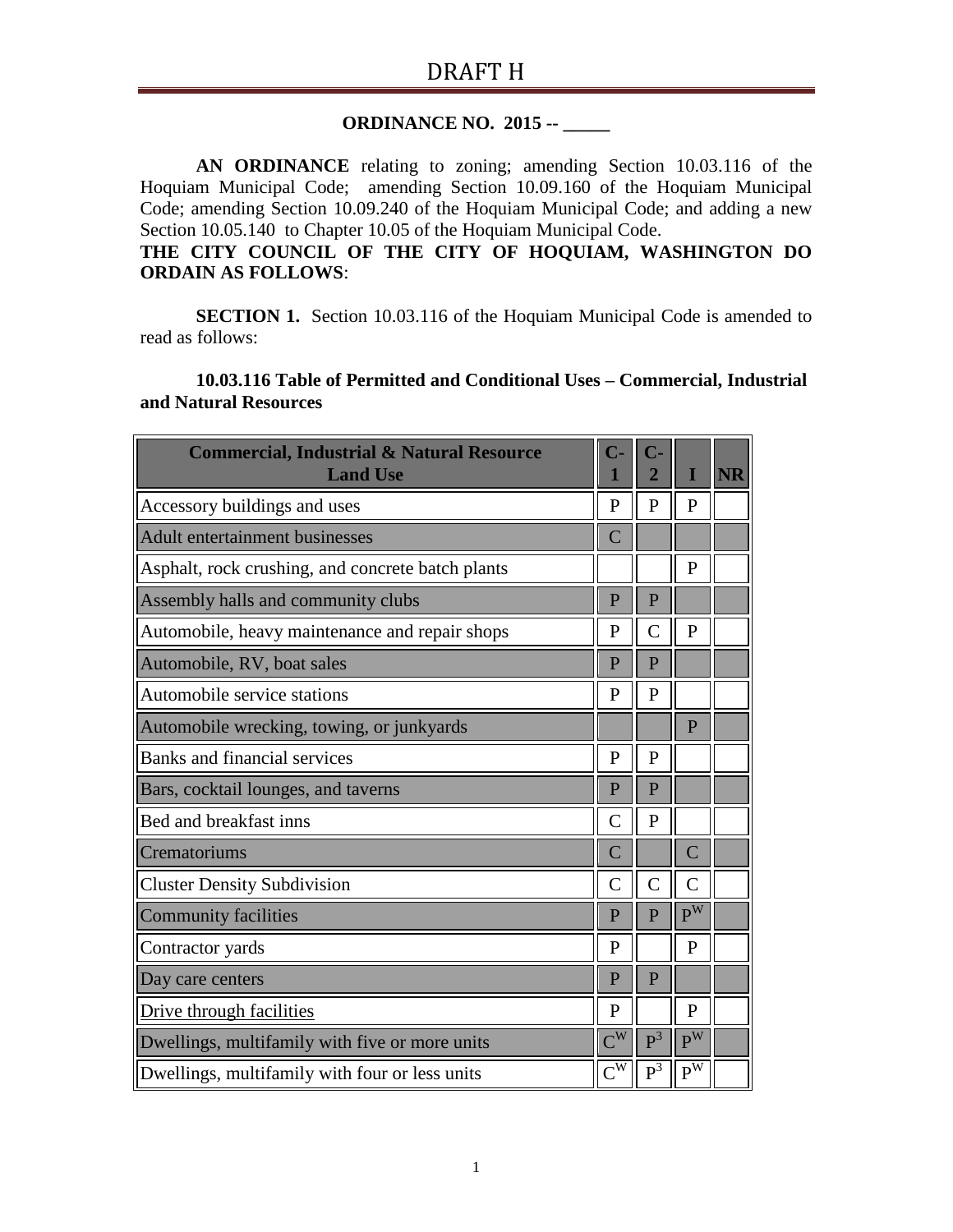### **ORDINANCE NO. 2015 -- \_\_\_\_\_**

**AN ORDINANCE** relating to zoning; amending Section 10.03.116 of the Hoquiam Municipal Code; amending Section 10.09.160 of the Hoquiam Municipal Code; amending Section 10.09.240 of the Hoquiam Municipal Code; and adding a new Section 10.05.140 to Chapter 10.05 of the Hoquiam Municipal Code.

### **THE CITY COUNCIL OF THE CITY OF HOQUIAM, WASHINGTON DO ORDAIN AS FOLLOWS**:

**SECTION 1.** Section 10.03.116 of the Hoquiam Municipal Code is amended to read as follows:

#### **10.03.116 Table of Permitted and Conditional Uses – Commercial, Industrial and Natural Resources**

| <b>Commercial, Industrial &amp; Natural Resource</b><br><b>Land Use</b> | $\mathbf{C}$ -                   |                |                    | <b>NR</b> |
|-------------------------------------------------------------------------|----------------------------------|----------------|--------------------|-----------|
| Accessory buildings and uses                                            | $\mathbf{P}$                     | $\mathbf{P}$   | P                  |           |
| Adult entertainment businesses                                          | $\overline{C}$                   |                |                    |           |
| Asphalt, rock crushing, and concrete batch plants                       |                                  |                | $\mathbf{P}$       |           |
| Assembly halls and community clubs                                      | P                                | P              |                    |           |
| Automobile, heavy maintenance and repair shops                          | $\mathbf{P}$                     | $\mathsf{C}$   | P                  |           |
| Automobile, RV, boat sales                                              | $\mathbf{P}$                     | $\mathbf{P}$   |                    |           |
| Automobile service stations                                             | $\mathbf{P}$                     | $\mathbf{P}$   |                    |           |
| Automobile wrecking, towing, or junkyards                               |                                  |                | $\mathbf{P}$       |           |
| Banks and financial services                                            | $\mathbf{P}$                     | P              |                    |           |
| Bars, cocktail lounges, and taverns                                     | P                                | P              |                    |           |
| Bed and breakfast inns                                                  | $\overline{C}$                   | $\mathbf{P}$   |                    |           |
| Crematoriums                                                            | $\overline{C}$                   |                | $\overline{C}$     |           |
| <b>Cluster Density Subdivision</b>                                      | $\overline{C}$                   | $\mathcal{C}$  | $\mathcal{C}$      |           |
| Community facilities                                                    | $\mathbf{P}$                     | $\mathbf{P}$   | $P^{\overline{w}}$ |           |
| Contractor yards                                                        | $\mathbf{P}$                     |                | $\mathbf{P}$       |           |
| Day care centers                                                        | $\overline{P}$                   | $\overline{P}$ |                    |           |
| Drive through facilities                                                | $\mathbf{P}$                     |                | P                  |           |
| Dwellings, multifamily with five or more units                          | $\overline{\text{C}^{\text{W}}}$ | $P^3$          | $P^{W}$            |           |
| Dwellings, multifamily with four or less units                          | $C^{\overline{W}}$               | $P^3$          | $P^{\overline{W}}$ |           |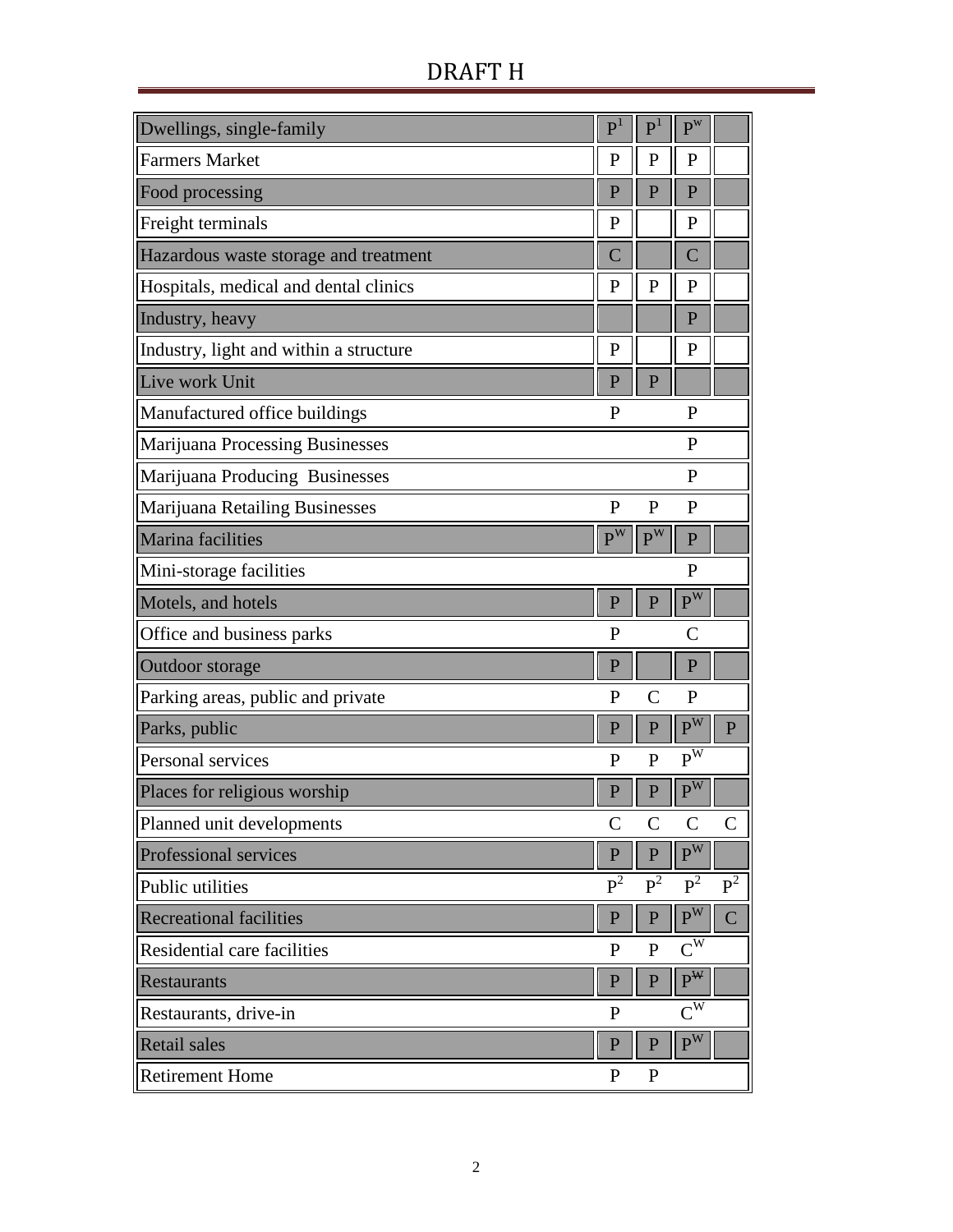# DRAFT H

| Dwellings, single-family               | $\mathbf{P}^1$ | P <sup>1</sup> | $P^w$                   |               |
|----------------------------------------|----------------|----------------|-------------------------|---------------|
| <b>Farmers Market</b>                  | $\mathbf{P}$   | $\mathbf{P}$   | $\mathbf{P}$            |               |
| Food processing                        | $\mathbf{P}$   | $\overline{P}$ | $\overline{P}$          |               |
| Freight terminals                      | $\mathbf{P}$   |                | ${\bf P}$               |               |
| Hazardous waste storage and treatment  | $\overline{C}$ |                | $\overline{C}$          |               |
| Hospitals, medical and dental clinics  | $\mathbf{P}$   | $\mathbf{P}$   | $\mathbf{P}$            |               |
| Industry, heavy                        |                |                | $\overline{P}$          |               |
| Industry, light and within a structure | $\mathbf{P}$   |                | $\mathbf{P}$            |               |
| Live work Unit                         | $\overline{P}$ | $\mathbf{P}$   |                         |               |
| Manufactured office buildings          | $\mathbf{P}$   |                | $\mathbf{P}$            |               |
| Marijuana Processing Businesses        |                |                | $\mathbf{P}$            |               |
| Marijuana Producing Businesses         |                |                | P                       |               |
| Marijuana Retailing Businesses         | $\mathbf{P}$   | $\mathbf{P}$   | $\mathbf{P}$            |               |
| Marina facilities                      | $P^{W}$        | $P^{W}$        | ${\bf P}$               |               |
| Mini-storage facilities                |                |                | $\mathbf{P}$            |               |
| Motels, and hotels                     | $\mathbf{P}$   | P              | $P^{W}$                 |               |
| Office and business parks              | $\mathbf{P}$   |                | $\overline{C}$          |               |
| Outdoor storage                        | $\mathbf{P}$   |                | ${\bf P}$               |               |
| Parking areas, public and private      | $\mathbf{P}$   | $\overline{C}$ | $\mathbf{P}$            |               |
| Parks, public                          | $\mathbf{P}$   | $\mathbf{P}$   | $P^{\overline{W}}$      | $\mathbf{P}$  |
| Personal services                      | $\mathbf{P}$   | $\overline{P}$ | $\overline{P^{W}}$      |               |
| Places for religious worship           | $\mathbf{P}$   | $\mathbf{P}$   | $P^{\overline{W}}$      |               |
| Planned unit developments              | $\mathsf{C}$   | $\mathsf{C}$   | $\mathsf{C}$            | $\mathsf{C}$  |
| Professional services                  | $\mathbf{P}$   | $\mathbf{P}$   | $P^{W}$                 |               |
| Public utilities                       | $P^2$          | $P^2$          | $P^2$                   | $P^2$         |
| <b>Recreational facilities</b>         | $\overline{P}$ | $\overline{P}$ | $\textbf{P}^{\text{W}}$ | $\mathcal{C}$ |
| Residential care facilities            | $\mathbf{P}$   | $\mathbf{P}$   | $C^{\overline{W}}$      |               |
| <b>Restaurants</b>                     | $\overline{P}$ | $\mathbf{P}$   | $P^{\overline{W}}$      |               |
| Restaurants, drive-in                  | $\mathbf{P}$   |                | $C^{W}$                 |               |
| <b>Retail sales</b>                    | $\mathbf{P}$   | $\mathbf{P}$   | $P^{\overline{W}}$      |               |
| <b>Retirement Home</b>                 | $\mathbf{P}$   | $\mathbf{P}$   |                         |               |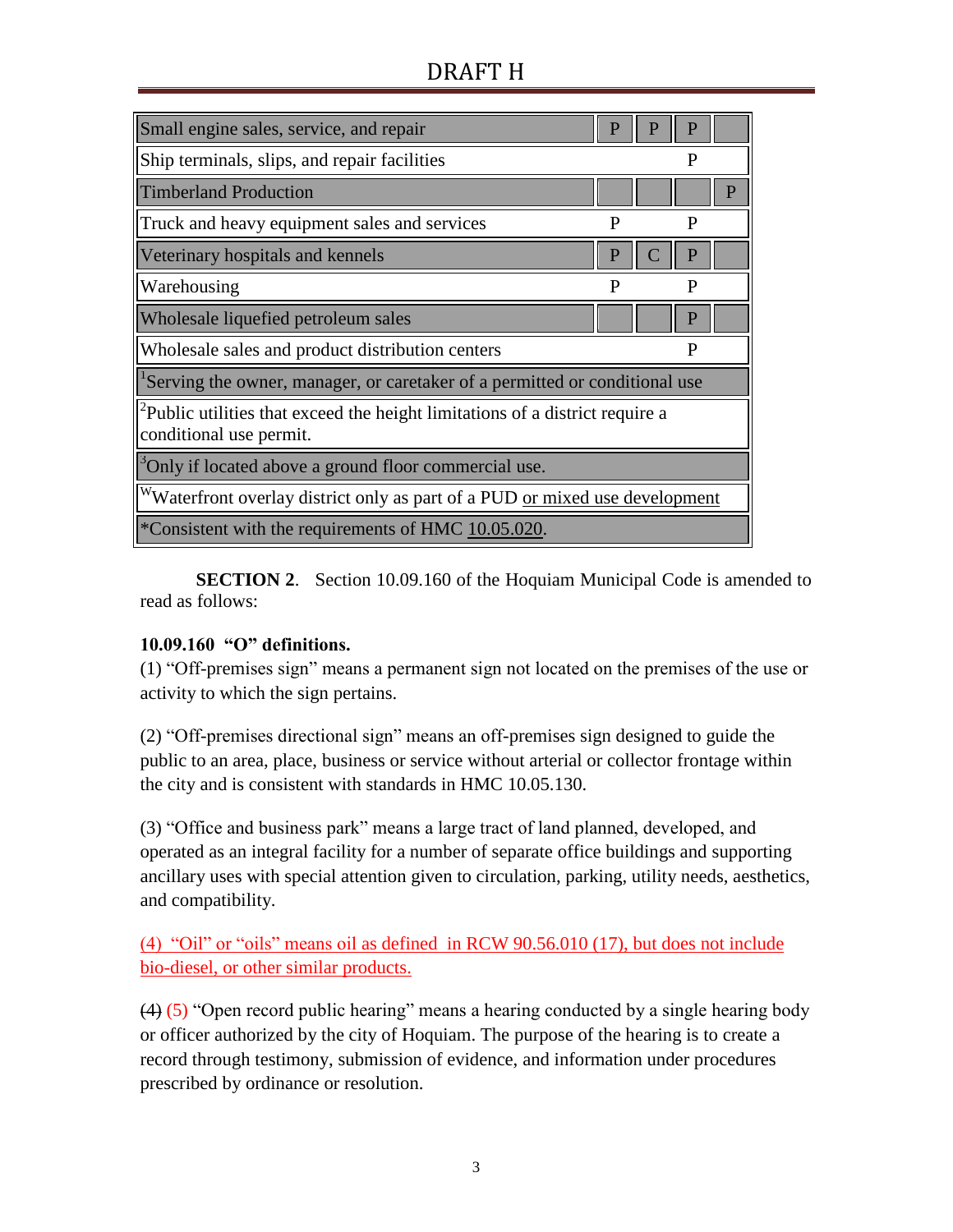## DRAFT H

| Small engine sales, service, and repair                                                                           | P |  | P            |   |  |
|-------------------------------------------------------------------------------------------------------------------|---|--|--------------|---|--|
| Ship terminals, slips, and repair facilities                                                                      |   |  | P            |   |  |
| <b>Timberland Production</b>                                                                                      |   |  |              | P |  |
| Truck and heavy equipment sales and services                                                                      | P |  | P            |   |  |
| Veterinary hospitals and kennels                                                                                  | P |  | P            |   |  |
| Warehousing                                                                                                       | P |  | P            |   |  |
| Wholesale liquefied petroleum sales                                                                               |   |  | $\mathbf{P}$ |   |  |
| Wholesale sales and product distribution centers                                                                  |   |  | P            |   |  |
| Serving the owner, manager, or caretaker of a permitted or conditional use                                        |   |  |              |   |  |
| $\epsilon$ Public utilities that exceed the height limitations of a district require a<br>conditional use permit. |   |  |              |   |  |
| <sup>3</sup> Only if located above a ground floor commercial use.                                                 |   |  |              |   |  |
| <sup>W</sup> Waterfront overlay district only as part of a PUD or mixed use development                           |   |  |              |   |  |
| *Consistent with the requirements of HMC 10.05.020.                                                               |   |  |              |   |  |

**SECTION 2.** Section 10.09.160 of the Hoquiam Municipal Code is amended to read as follows:

### **10.09.160 "O" definitions.**

(1) "Off-premises sign" means a permanent sign not located on the premises of the use or activity to which the sign pertains.

(2) "Off-premises directional sign" means an off-premises sign designed to guide the public to an area, place, business or service without arterial or collector frontage within the city and is consistent with standards in HMC 10.05.130.

(3) "Office and business park" means a large tract of land planned, developed, and operated as an integral facility for a number of separate office buildings and supporting ancillary uses with special attention given to circulation, parking, utility needs, aesthetics, and compatibility.

(4) "Oil" or "oils" means oil as defined in RCW 90.56.010 (17), but does not include bio-diesel, or other similar products.

(4) (5) "Open record public hearing" means a hearing conducted by a single hearing body or officer authorized by the city of Hoquiam. The purpose of the hearing is to create a record through testimony, submission of evidence, and information under procedures prescribed by ordinance or resolution.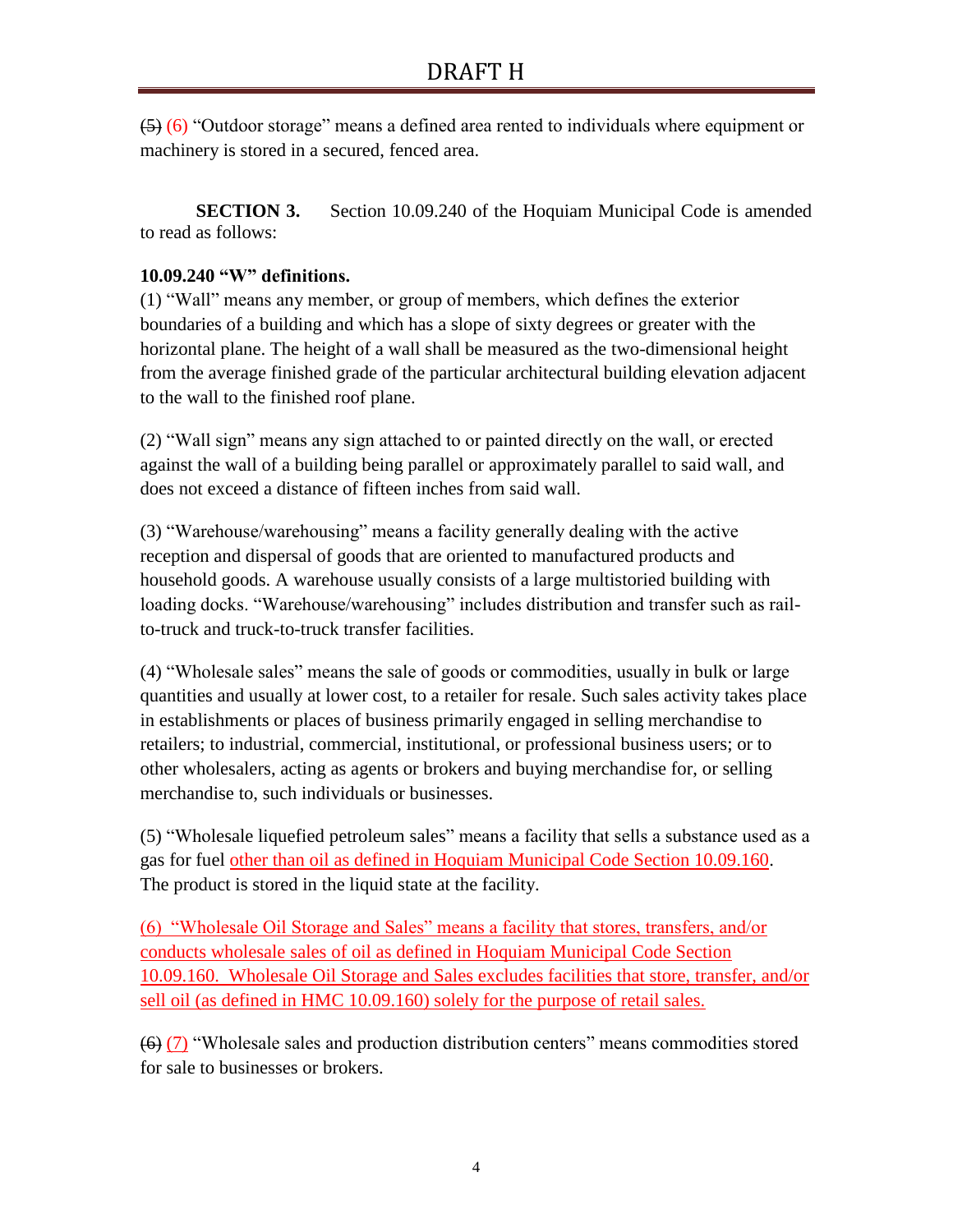(5) (6) "Outdoor storage" means a defined area rented to individuals where equipment or machinery is stored in a secured, fenced area.

**SECTION 3.** Section 10.09.240 of the Hoquiam Municipal Code is amended to read as follows:

#### **10.09.240 "W" definitions.**

(1) "Wall" means any member, or group of members, which defines the exterior boundaries of a building and which has a slope of sixty degrees or greater with the horizontal plane. The height of a wall shall be measured as the two-dimensional height from the average finished grade of the particular architectural building elevation adjacent to the wall to the finished roof plane.

(2) "Wall sign" means any sign attached to or painted directly on the wall, or erected against the wall of a building being parallel or approximately parallel to said wall, and does not exceed a distance of fifteen inches from said wall.

(3) "Warehouse/warehousing" means a facility generally dealing with the active reception and dispersal of goods that are oriented to manufactured products and household goods. A warehouse usually consists of a large multistoried building with loading docks. "Warehouse/warehousing" includes distribution and transfer such as railto-truck and truck-to-truck transfer facilities.

(4) "Wholesale sales" means the sale of goods or commodities, usually in bulk or large quantities and usually at lower cost, to a retailer for resale. Such sales activity takes place in establishments or places of business primarily engaged in selling merchandise to retailers; to industrial, commercial, institutional, or professional business users; or to other wholesalers, acting as agents or brokers and buying merchandise for, or selling merchandise to, such individuals or businesses.

(5) "Wholesale liquefied petroleum sales" means a facility that sells a substance used as a gas for fuel other than oil as defined in Hoquiam Municipal Code Section 10.09.160. The product is stored in the liquid state at the facility.

(6) "Wholesale Oil Storage and Sales" means a facility that stores, transfers, and/or conducts wholesale sales of oil as defined in Hoquiam Municipal Code Section 10.09.160. Wholesale Oil Storage and Sales excludes facilities that store, transfer, and/or sell oil (as defined in HMC 10.09.160) solely for the purpose of retail sales.

(6) (7) "Wholesale sales and production distribution centers" means commodities stored for sale to businesses or brokers.